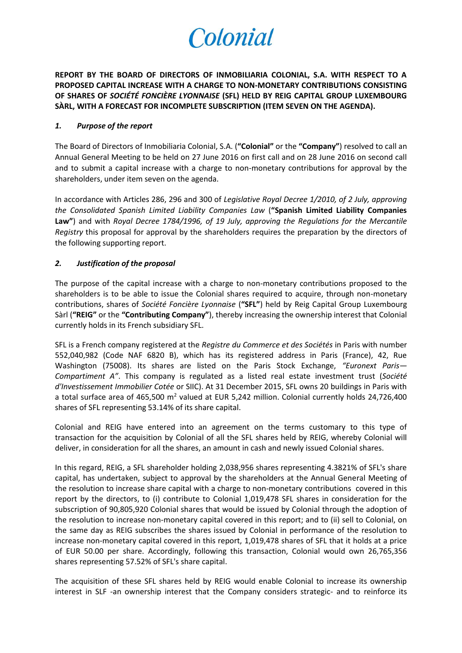# Colonial

**REPORT BY THE BOARD OF DIRECTORS OF INMOBILIARIA COLONIAL, S.A. WITH RESPECT TO A PROPOSED CAPITAL INCREASE WITH A CHARGE TO NON-MONETARY CONTRIBUTIONS CONSISTING OF SHARES OF** *SOCIÉTÉ FONCIÈRE LYONNAISE* **(SFL) HELD BY REIG CAPITAL GROUP LUXEMBOURG SÀRL, WITH A FORECAST FOR INCOMPLETE SUBSCRIPTION (ITEM SEVEN ON THE AGENDA).**

## *1. Purpose of the report*

The Board of Directors of Inmobiliaria Colonial, S.A. (**"Colonial"** or the **"Company"**) resolved to call an Annual General Meeting to be held on 27 June 2016 on first call and on 28 June 2016 on second call and to submit a capital increase with a charge to non-monetary contributions for approval by the shareholders, under item seven on the agenda.

In accordance with Articles 286, 296 and 300 of *Legislative Royal Decree 1/2010, of 2 July, approving the Consolidated Spanish Limited Liability Companies Law* (**"Spanish Limited Liability Companies Law"**) and with *Royal Decree 1784/1996, of 19 July, approving the Regulations for the Mercantile Registry* this proposal for approval by the shareholders requires the preparation by the directors of the following supporting report.

## *2. Justification of the proposal*

The purpose of the capital increase with a charge to non-monetary contributions proposed to the shareholders is to be able to issue the Colonial shares required to acquire, through non-monetary contributions, shares of *Société Foncière Lyonnaise* (**"SFL"**) held by Reig Capital Group Luxembourg Sàrl (**"REIG"** or the **"Contributing Company"**), thereby increasing the ownership interest that Colonial currently holds in its French subsidiary SFL.

SFL is a French company registered at the *Registre du Commerce et des Sociétés* in Paris with number 552,040,982 (Code NAF 6820 B), which has its registered address in Paris (France), 42, Rue Washington (75008). Its shares are listed on the Paris Stock Exchange, *"Euronext Paris— Compartiment A"*. This company is regulated as a listed real estate investment trust (*Société d'Investissement Immobilier Cotée* or SIIC). At 31 December 2015, SFL owns 20 buildings in Paris with a total surface area of 465,500 m<sup>2</sup> valued at EUR 5,242 million. Colonial currently holds 24,726,400 shares of SFL representing 53.14% of its share capital.

Colonial and REIG have entered into an agreement on the terms customary to this type of transaction for the acquisition by Colonial of all the SFL shares held by REIG, whereby Colonial will deliver, in consideration for all the shares, an amount in cash and newly issued Colonial shares.

In this regard, REIG, a SFL shareholder holding 2,038,956 shares representing 4.3821% of SFL's share capital, has undertaken, subject to approval by the shareholders at the Annual General Meeting of the resolution to increase share capital with a charge to non-monetary contributions covered in this report by the directors, to (i) contribute to Colonial 1,019,478 SFL shares in consideration for the subscription of 90,805,920 Colonial shares that would be issued by Colonial through the adoption of the resolution to increase non-monetary capital covered in this report; and to (ii) sell to Colonial, on the same day as REIG subscribes the shares issued by Colonial in performance of the resolution to increase non-monetary capital covered in this report, 1,019,478 shares of SFL that it holds at a price of EUR 50.00 per share. Accordingly, following this transaction, Colonial would own 26,765,356 shares representing 57.52% of SFL's share capital.

The acquisition of these SFL shares held by REIG would enable Colonial to increase its ownership interest in SLF -an ownership interest that the Company considers strategic- and to reinforce its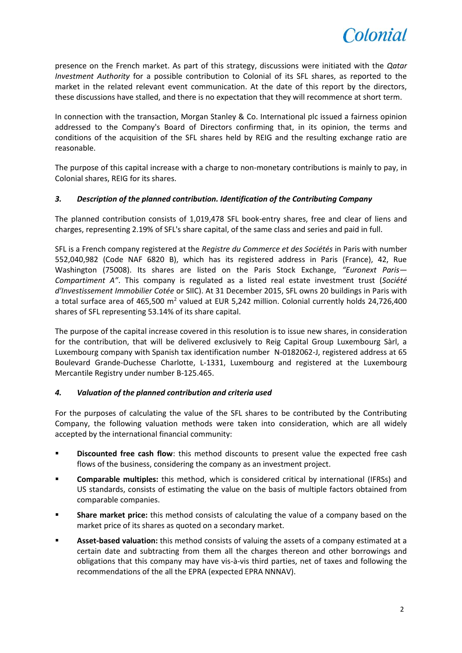

presence on the French market. As part of this strategy, discussions were initiated with the *Qatar Investment Authority* for a possible contribution to Colonial of its SFL shares, as reported to the market in the related relevant event communication. At the date of this report by the directors, these discussions have stalled, and there is no expectation that they will recommence at short term.

In connection with the transaction, Morgan Stanley & Co. International plc issued a fairness opinion addressed to the Company's Board of Directors confirming that, in its opinion, the terms and conditions of the acquisition of the SFL shares held by REIG and the resulting exchange ratio are reasonable.

The purpose of this capital increase with a charge to non-monetary contributions is mainly to pay, in Colonial shares, REIG for its shares.

## *3. Description of the planned contribution. Identification of the Contributing Company*

The planned contribution consists of 1,019,478 SFL book-entry shares, free and clear of liens and charges, representing 2.19% of SFL's share capital, of the same class and series and paid in full.

SFL is a French company registered at the *Registre du Commerce et des Sociétés* in Paris with number 552,040,982 (Code NAF 6820 B), which has its registered address in Paris (France), 42, Rue Washington (75008). Its shares are listed on the Paris Stock Exchange, *"Euronext Paris— Compartiment A"*. This company is regulated as a listed real estate investment trust (*Société d'Investissement Immobilier Cotée* or SIIC). At 31 December 2015, SFL owns 20 buildings in Paris with a total surface area of 465,500 m<sup>2</sup> valued at EUR 5,242 million. Colonial currently holds 24,726,400 shares of SFL representing 53.14% of its share capital.

The purpose of the capital increase covered in this resolution is to issue new shares, in consideration for the contribution, that will be delivered exclusively to Reig Capital Group Luxembourg Sàrl, a Luxembourg company with Spanish tax identification number N-0182062-J, registered address at 65 Boulevard Grande-Duchesse Charlotte, L-1331, Luxembourg and registered at the Luxembourg Mercantile Registry under number B-125.465.

## *4. Valuation of the planned contribution and criteria used*

For the purposes of calculating the value of the SFL shares to be contributed by the Contributing Company, the following valuation methods were taken into consideration, which are all widely accepted by the international financial community:

- **Physism Discounted free cash flow**: this method discounts to present value the expected free cash flows of the business, considering the company as an investment project.
- **Comparable multiples:** this method, which is considered critical by international (IFRSs) and US standards, consists of estimating the value on the basis of multiple factors obtained from comparable companies.
- **Share market price:** this method consists of calculating the value of a company based on the market price of its shares as quoted on a secondary market.
- **Asset-based valuation:** this method consists of valuing the assets of a company estimated at a certain date and subtracting from them all the charges thereon and other borrowings and obligations that this company may have vis-à-vis third parties, net of taxes and following the recommendations of the all the EPRA (expected EPRA NNNAV).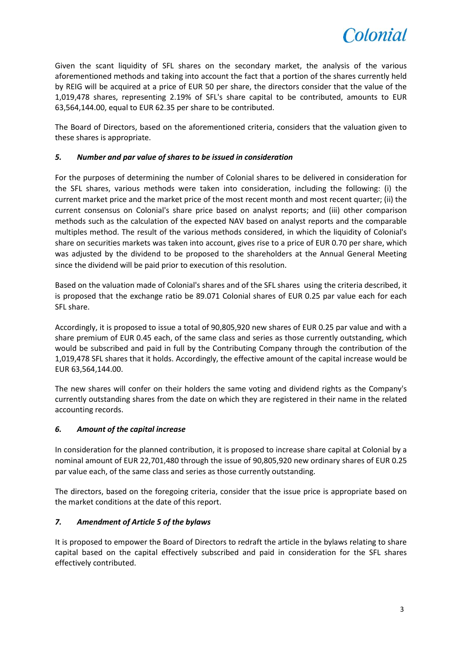

Given the scant liquidity of SFL shares on the secondary market, the analysis of the various aforementioned methods and taking into account the fact that a portion of the shares currently held by REIG will be acquired at a price of EUR 50 per share, the directors consider that the value of the 1,019,478 shares, representing 2.19% of SFL's share capital to be contributed, amounts to EUR 63,564,144.00, equal to EUR 62.35 per share to be contributed.

The Board of Directors, based on the aforementioned criteria, considers that the valuation given to these shares is appropriate.

## *5. Number and par value of shares to be issued in consideration*

For the purposes of determining the number of Colonial shares to be delivered in consideration for the SFL shares, various methods were taken into consideration, including the following: (i) the current market price and the market price of the most recent month and most recent quarter; (ii) the current consensus on Colonial's share price based on analyst reports; and (iii) other comparison methods such as the calculation of the expected NAV based on analyst reports and the comparable multiples method. The result of the various methods considered, in which the liquidity of Colonial's share on securities markets was taken into account, gives rise to a price of EUR 0.70 per share, which was adjusted by the dividend to be proposed to the shareholders at the Annual General Meeting since the dividend will be paid prior to execution of this resolution.

Based on the valuation made of Colonial's shares and of the SFL shares using the criteria described, it is proposed that the exchange ratio be 89.071 Colonial shares of EUR 0.25 par value each for each SFL share.

Accordingly, it is proposed to issue a total of 90,805,920 new shares of EUR 0.25 par value and with a share premium of EUR 0.45 each, of the same class and series as those currently outstanding, which would be subscribed and paid in full by the Contributing Company through the contribution of the 1,019,478 SFL shares that it holds. Accordingly, the effective amount of the capital increase would be EUR 63,564,144.00.

The new shares will confer on their holders the same voting and dividend rights as the Company's currently outstanding shares from the date on which they are registered in their name in the related accounting records.

## *6. Amount of the capital increase*

In consideration for the planned contribution, it is proposed to increase share capital at Colonial by a nominal amount of EUR 22,701,480 through the issue of 90,805,920 new ordinary shares of EUR 0.25 par value each, of the same class and series as those currently outstanding.

The directors, based on the foregoing criteria, consider that the issue price is appropriate based on the market conditions at the date of this report.

## *7. Amendment of Article 5 of the bylaws*

It is proposed to empower the Board of Directors to redraft the article in the bylaws relating to share capital based on the capital effectively subscribed and paid in consideration for the SFL shares effectively contributed.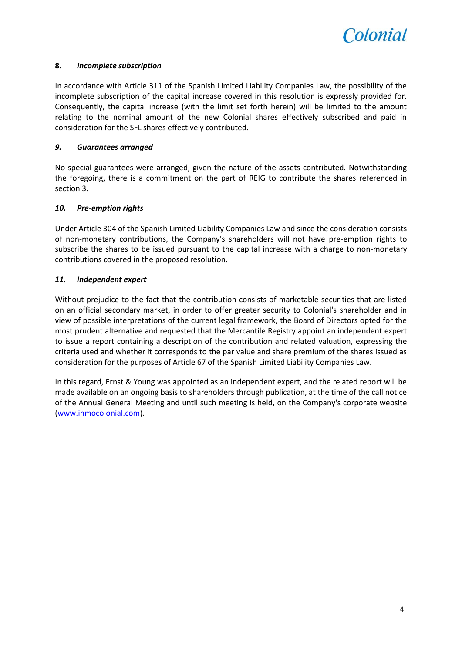

## **8.** *Incomplete subscription*

In accordance with Article 311 of the Spanish Limited Liability Companies Law, the possibility of the incomplete subscription of the capital increase covered in this resolution is expressly provided for. Consequently, the capital increase (with the limit set forth herein) will be limited to the amount relating to the nominal amount of the new Colonial shares effectively subscribed and paid in consideration for the SFL shares effectively contributed.

## *9. Guarantees arranged*

No special guarantees were arranged, given the nature of the assets contributed. Notwithstanding the foregoing, there is a commitment on the part of REIG to contribute the shares referenced in section 3.

## *10. Pre-emption rights*

Under Article 304 of the Spanish Limited Liability Companies Law and since the consideration consists of non-monetary contributions, the Company's shareholders will not have pre-emption rights to subscribe the shares to be issued pursuant to the capital increase with a charge to non-monetary contributions covered in the proposed resolution.

## *11. Independent expert*

Without prejudice to the fact that the contribution consists of marketable securities that are listed on an official secondary market, in order to offer greater security to Colonial's shareholder and in view of possible interpretations of the current legal framework, the Board of Directors opted for the most prudent alternative and requested that the Mercantile Registry appoint an independent expert to issue a report containing a description of the contribution and related valuation, expressing the criteria used and whether it corresponds to the par value and share premium of the shares issued as consideration for the purposes of Article 67 of the Spanish Limited Liability Companies Law.

In this regard, Ernst & Young was appointed as an independent expert, and the related report will be made available on an ongoing basis to shareholders through publication, at the time of the call notice of the Annual General Meeting and until such meeting is held, on the Company's corporate website [\(www.inmocolonial.com\)](http://www.inmocolonial.com/).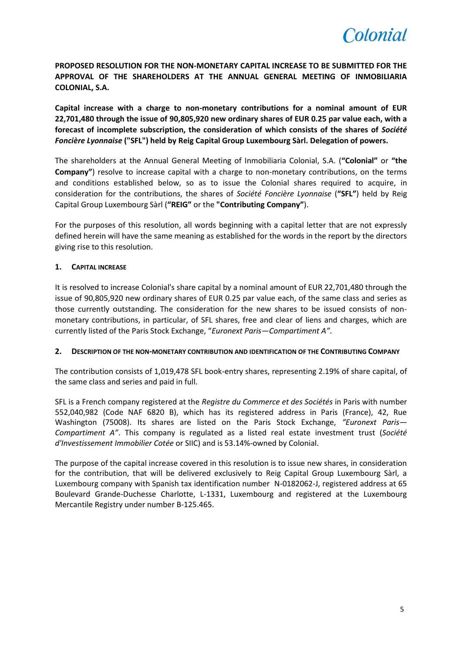

**PROPOSED RESOLUTION FOR THE NON-MONETARY CAPITAL INCREASE TO BE SUBMITTED FOR THE APPROVAL OF THE SHAREHOLDERS AT THE ANNUAL GENERAL MEETING OF INMOBILIARIA COLONIAL, S.A.**

**Capital increase with a charge to non-monetary contributions for a nominal amount of EUR 22,701,480 through the issue of 90,805,920 new ordinary shares of EUR 0.25 par value each, with a forecast of incomplete subscription, the consideration of which consists of the shares of** *Société Foncière Lyonnaise* **("SFL") held by Reig Capital Group Luxembourg Sàrl. Delegation of powers.**

The shareholders at the Annual General Meeting of Inmobiliaria Colonial, S.A. (**"Colonial"** or **"the Company"**) resolve to increase capital with a charge to non-monetary contributions, on the terms and conditions established below, so as to issue the Colonial shares required to acquire, in consideration for the contributions, the shares of *Société Foncière Lyonnaise* (**"SFL"**) held by Reig Capital Group Luxembourg Sàrl (**"REIG"** or the **"Contributing Company"**).

For the purposes of this resolution, all words beginning with a capital letter that are not expressly defined herein will have the same meaning as established for the words in the report by the directors giving rise to this resolution.

## **1. CAPITAL INCREASE**

It is resolved to increase Colonial's share capital by a nominal amount of EUR 22,701,480 through the issue of 90,805,920 new ordinary shares of EUR 0.25 par value each, of the same class and series as those currently outstanding. The consideration for the new shares to be issued consists of nonmonetary contributions, in particular, of SFL shares, free and clear of liens and charges, which are currently listed of the Paris Stock Exchange, "*Euronext Paris*—*Compartiment A"*.

## **2. DESCRIPTION OF THE NON-MONETARY CONTRIBUTION AND IDENTIFICATION OF THE CONTRIBUTING COMPANY**

The contribution consists of 1,019,478 SFL book-entry shares, representing 2.19% of share capital, of the same class and series and paid in full.

SFL is a French company registered at the *Registre du Commerce et des Sociétés* in Paris with number 552,040,982 (Code NAF 6820 B), which has its registered address in Paris (France), 42, Rue Washington (75008). Its shares are listed on the Paris Stock Exchange, *"Euronext Paris— Compartiment A"*. This company is regulated as a listed real estate investment trust (*Société d'Investissement Immobilier Cotée* or SIIC) and is 53.14%-owned by Colonial.

The purpose of the capital increase covered in this resolution is to issue new shares, in consideration for the contribution, that will be delivered exclusively to Reig Capital Group Luxembourg Sàrl, a Luxembourg company with Spanish tax identification number N-0182062-J, registered address at 65 Boulevard Grande-Duchesse Charlotte, L-1331, Luxembourg and registered at the Luxembourg Mercantile Registry under number B-125.465.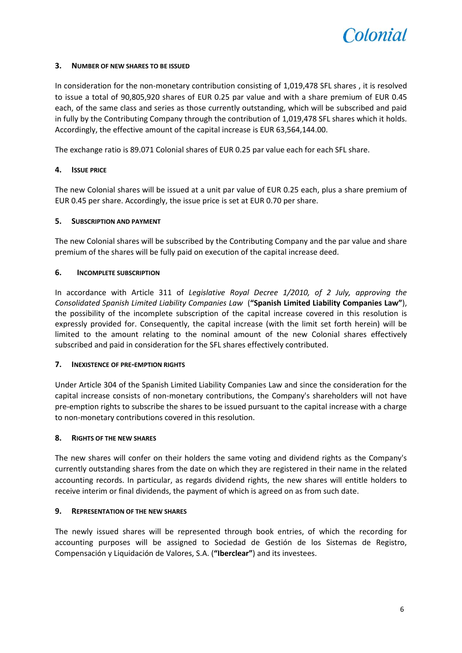

## **3. NUMBER OF NEW SHARES TO BE ISSUED**

In consideration for the non-monetary contribution consisting of 1,019,478 SFL shares , it is resolved to issue a total of 90,805,920 shares of EUR 0.25 par value and with a share premium of EUR 0.45 each, of the same class and series as those currently outstanding, which will be subscribed and paid in fully by the Contributing Company through the contribution of 1,019,478 SFL shares which it holds. Accordingly, the effective amount of the capital increase is EUR 63,564,144.00.

The exchange ratio is 89.071 Colonial shares of EUR 0.25 par value each for each SFL share.

#### **4. ISSUE PRICE**

The new Colonial shares will be issued at a unit par value of EUR 0.25 each, plus a share premium of EUR 0.45 per share. Accordingly, the issue price is set at EUR 0.70 per share.

#### **5. SUBSCRIPTION AND PAYMENT**

The new Colonial shares will be subscribed by the Contributing Company and the par value and share premium of the shares will be fully paid on execution of the capital increase deed.

#### **6. INCOMPLETE SUBSCRIPTION**

In accordance with Article 311 of *Legislative Royal Decree 1/2010, of 2 July, approving the Consolidated Spanish Limited Liability Companies Law* (**"Spanish Limited Liability Companies Law"**), the possibility of the incomplete subscription of the capital increase covered in this resolution is expressly provided for. Consequently, the capital increase (with the limit set forth herein) will be limited to the amount relating to the nominal amount of the new Colonial shares effectively subscribed and paid in consideration for the SFL shares effectively contributed.

## **7. INEXISTENCE OF PRE-EMPTION RIGHTS**

Under Article 304 of the Spanish Limited Liability Companies Law and since the consideration for the capital increase consists of non-monetary contributions, the Company's shareholders will not have pre-emption rights to subscribe the shares to be issued pursuant to the capital increase with a charge to non-monetary contributions covered in this resolution.

#### **8. RIGHTS OF THE NEW SHARES**

The new shares will confer on their holders the same voting and dividend rights as the Company's currently outstanding shares from the date on which they are registered in their name in the related accounting records. In particular, as regards dividend rights, the new shares will entitle holders to receive interim or final dividends, the payment of which is agreed on as from such date.

#### **9. REPRESENTATION OF THE NEW SHARES**

The newly issued shares will be represented through book entries, of which the recording for accounting purposes will be assigned to Sociedad de Gestión de los Sistemas de Registro, Compensación y Liquidación de Valores, S.A. (**"Iberclear"**) and its investees.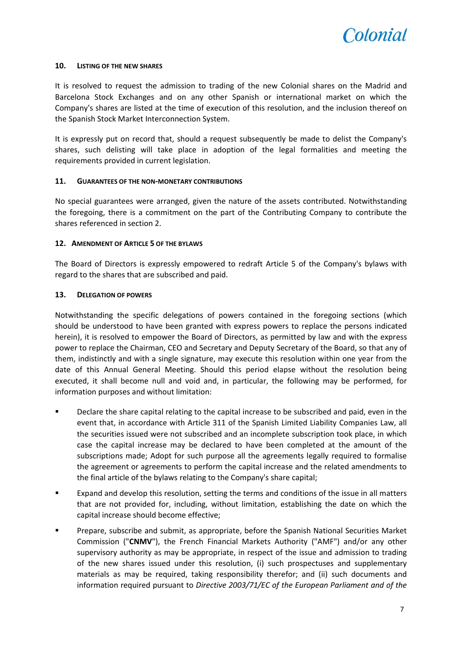

#### **10. LISTING OF THE NEW SHARES**

It is resolved to request the admission to trading of the new Colonial shares on the Madrid and Barcelona Stock Exchanges and on any other Spanish or international market on which the Company's shares are listed at the time of execution of this resolution, and the inclusion thereof on the Spanish Stock Market Interconnection System.

It is expressly put on record that, should a request subsequently be made to delist the Company's shares, such delisting will take place in adoption of the legal formalities and meeting the requirements provided in current legislation.

#### **11. GUARANTEES OF THE NON-MONETARY CONTRIBUTIONS**

No special guarantees were arranged, given the nature of the assets contributed. Notwithstanding the foregoing, there is a commitment on the part of the Contributing Company to contribute the shares referenced in section 2.

#### **12. AMENDMENT OF ARTICLE 5 OF THE BYLAWS**

The Board of Directors is expressly empowered to redraft Article 5 of the Company's bylaws with regard to the shares that are subscribed and paid.

#### **13. DELEGATION OF POWERS**

Notwithstanding the specific delegations of powers contained in the foregoing sections (which should be understood to have been granted with express powers to replace the persons indicated herein), it is resolved to empower the Board of Directors, as permitted by law and with the express power to replace the Chairman, CEO and Secretary and Deputy Secretary of the Board, so that any of them, indistinctly and with a single signature, may execute this resolution within one year from the date of this Annual General Meeting. Should this period elapse without the resolution being executed, it shall become null and void and, in particular, the following may be performed, for information purposes and without limitation:

- Declare the share capital relating to the capital increase to be subscribed and paid, even in the event that, in accordance with Article 311 of the Spanish Limited Liability Companies Law, all the securities issued were not subscribed and an incomplete subscription took place, in which case the capital increase may be declared to have been completed at the amount of the subscriptions made; Adopt for such purpose all the agreements legally required to formalise the agreement or agreements to perform the capital increase and the related amendments to the final article of the bylaws relating to the Company's share capital;
- Expand and develop this resolution, setting the terms and conditions of the issue in all matters that are not provided for, including, without limitation, establishing the date on which the capital increase should become effective;
- Prepare, subscribe and submit, as appropriate, before the Spanish National Securities Market Commission ("**CNMV**"), the French Financial Markets Authority ("AMF") and/or any other supervisory authority as may be appropriate, in respect of the issue and admission to trading of the new shares issued under this resolution, (i) such prospectuses and supplementary materials as may be required, taking responsibility therefor; and (ii) such documents and information required pursuant to *Directive 2003/71/EC of the European Parliament and of the*